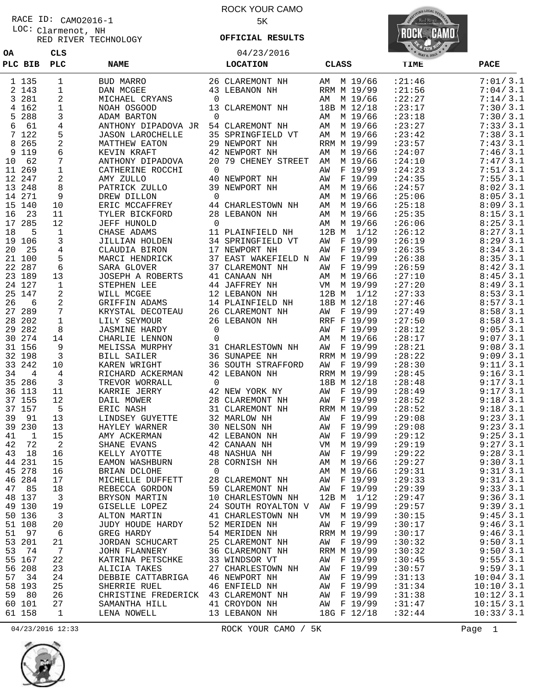# RACE ID: CAMO2016-1

**OA CLS**

Clarmenot, NH RED RIVER TECHNOLOGY LOC:

#### ROCK YOUR CAMO 5K

**OFFICIAL RESULTS**

04/23/2016



| PLC BIB             | PLC                  | <b>NAME</b>                                                                   | <b>LOCATION</b>                 | <b>CLASS</b>             | TIME              | <b>PACE</b>          |
|---------------------|----------------------|-------------------------------------------------------------------------------|---------------------------------|--------------------------|-------------------|----------------------|
| 1 135               | $\mathbf{1}$         | BUD MARRO                                                                     | 26 CLAREMONT NH                 | AM M 19/66               | : 21:46           | 7:01/3.1             |
| 2 143               | $\mathbf{1}$         | DAN MCGEE                                                                     | 43 LEBANON NH                   | RRM M 19/99              | : 21:56           | 7:04/3.1             |
| 3 281               | 2                    | MICHAEL CRYANS                                                                | 0                               | AM M 19/66               | : 22: 27          | 7:14/3.1             |
| 4 162               | $\mathbf{1}$         | NOAH OSGOOD                                                                   | 13 CLAREMONT NH                 | 18B M 12/18              | : 23:17           | 7:30/3.1             |
| 5 288               | 3                    | ADAM BARTON                                                                   | $\overline{0}$                  | AM M 19/66               | : 23:18           | 7:30/3.1             |
| 61<br>6             | 4                    | ANTHONY DIPADOVA JR                                                           | 54 CLAREMONT NH                 | AM M 19/66               | : 23: 27          | 7:33/3.1             |
| 7 122               | 5                    | <b>JASON LAROCHELLE</b>                                                       | 35 SPRINGFIELD VT               | AM M 19/66               | : 23:42           | 7:38/3.1             |
| 8 265               | 2                    | MATTHEW EATON                                                                 | 29 NEWPORT NH                   | RRM M 19/99              | : 23:57           | 7:43/3.1             |
| 119<br>9            | 6                    | KEVIN KRAFT                                                                   | 42 NEWPORT NH                   | AM M 19/66               | : 24:07           | 7:46/3.1             |
| 62<br>10            | $7\phantom{.0}$      | ANTHONY DIPADOVA                                                              | 20 79 CHENEY STREET             | AM M 19/66               | : 24:10           | 7:47/3.1             |
| 11 269              | $\mathbf{1}$         | CATHERINE ROCCHI                                                              | $\overline{0}$                  | AW F 19/99               | : 24:23           | 7:51/3.1             |
| 12 247              | 2                    | AMY ZULLO                                                                     | 40 NEWPORT NH                   | AW F 19/99               | : 24:35           | 7:55/3.1             |
| 13 248              | 8                    | PATRICK ZULLO                                                                 | 39 NEWPORT NH                   | AM M 19/66               | : 24:57           | 8:02 / 3.1           |
| 14 271              | 9                    | DREW DILLON                                                                   | 0                               | AM M 19/66               | : 25:06           | 8:05/3.1             |
| 15 140              | 10                   | ERIC MCCAFFREY                                                                | 44 CHARLESTOWN NH               | AM M 19/66               | : 25:18           | 8:09/3.1             |
| 16<br>23            | 11                   | TYLER BICKFORD                                                                | 28 LEBANON NH                   | AM M 19/66               | : 25:35           | 8:15/3.1             |
| 17 285              | 12                   | JEFF HUNOLD                                                                   | $\overline{0}$                  | AM M 19/66               | :26:06            | 8:25/3.1             |
| 5<br>18             | 1                    | CHASE ADAMS                                                                   | 11 PLAINFIELD NH                | 12B M 1/12               | : 26:12           | 8:27/3.1             |
| 19 106              | 3                    | JILLIAN HOLDEN                                                                | 34 SPRINGFIELD VT               | AW F 19/99               | :26:19            | 8:29/3.1             |
| 20<br>- 25          | 4                    | CLAUDIA BIRON                                                                 | 17 NEWPORT NH                   | AW F 19/99               | : 26:35           | 8:34/3.1             |
| 21 100              | 5                    | MARCI HENDRICK                                                                | 37 EAST WAKEFIELD N AW F 19/99  |                          | :26:38            | 8:35/3.1             |
| 22 287              | 6                    | SARA GLOVER                                                                   | 37 CLAREMONT NH                 | AW F 19/99               | : 26:59           | 8:42/3.1             |
| 23 189              | 13                   | JOSEPH A ROBERTS                                                              | 41 CANAAN NH                    | AM M 19/66               | : 27:10           | 8:45/3.1             |
| 24 127              | 1                    | STEPHEN LEE                                                                   | 44 JAFFREY NH                   | VM M 19/99               | : 27:20           | 8:49/3.1             |
| 25 147              | 2                    | WILL MCGEE                                                                    | 12 LEBANON NH                   | 12B M 1/12               | : 27:33           | 8:53/3.1             |
| 26<br>6             | $\overline{a}$       | GRIFFIN ADAMS                                                                 | 14 PLAINFIELD NH                | 18B M 12/18              | : 27:46           | 8:57/3.1             |
| 27 289              | 7                    | KRYSTAL DECOTEAU                                                              | 26 CLAREMONT NH                 | AW F 19/99               | : 27:49           | 8:58 / 3.1           |
| 28 202              | $\mathbf{1}$         | LILY SEYMOUR                                                                  | 26 LEBANON NH                   | RRF F 19/99              | : 27:50           | 8:58/3.1             |
| 29 282              | 8                    | <b>JASMINE HARDY</b>                                                          | $\overline{0}$                  | F 19/99<br>AW            | : 28:12           | 9:05/3.1             |
| 30 274              | 14                   | CHARLIE LENNON                                                                | $\mathbf 0$                     | AM M 19/66               | : 28:17           | 9:07/3.1             |
| 31 156              | 9                    | MELISSA MURPHY                                                                | 31 CHARLESTOWN NH               | AW F 19/99               | : 28:21           | 9:08/3.1             |
| 32 198              | $\overline{3}$       | BILL SAILER                                                                   | <b>36 SUNAPEE NH</b>            | RRM M 19/99              | : 28:22           | 9:09/3.1             |
| 33 242              | 10                   | KAREN WRIGHT                                                                  | 36 SOUTH STRAFFORD              | AW F 19/99               | : 28:30           | 9:11/3.1             |
| 34<br>4             | 4                    | RICHARD ACKERMAN                                                              | 42 LEBANON NH                   | RRM M 19/99              | : 28:45           | 9:16/3.1             |
| 35 286              | $\overline{3}$       | TREVOR WORRALL                                                                | $\overline{0}$                  | 18B M 12/18              | : 28:48           | 9:17/3.1             |
| 36 113              | 11                   | KARRIE JERRY                                                                  | 42 NEW YORK NY                  | AW F 19/99               | : 28:49           | 9:17/3.1             |
| 37 155              | 12                   | DAIL MOWER                                                                    | 28 CLAREMONT NH                 | AW F 19/99               | : 28:52           | 9:18/3.1             |
| 37 157              | 5                    | ERIC NASH                                                                     | 31 CLAREMONT NH<br>32 MARLOW NH | RRM M 19/99              | : 28:52           | 9:18/3.1             |
| 39<br>91            | 13                   | LINDSEY GUYETTE                                                               |                                 | AW F 19/99               | : 29:08           | 9:23/3.1<br>9:23/3.1 |
| 39 230              | 13                   | HAYLEY WARNER                                                                 | 30 NELSON NH<br>42 LEBANON NH   | AW F 19/99               | :29:08<br>: 29:12 | 9:25/3.1             |
| 41<br>1<br>72<br>42 | 15<br>$\overline{a}$ | AMY ACKERMAN<br>SHANE EVANS                                                   | 42 CANAAN NH                    | AW F 19/99<br>VM M 19/99 | :29:19            | 9:27/3.1             |
| 43<br>18            | 16                   | KELLY AYOTTE                                                                  | 48 NASHUA NH                    | AW F 19/99               | : 29:22           | 9:28 / 3.1           |
| 44 231              | 15                   | EAMON WASHBURN                                                                | 28 CORNISH NH                   | AM M 19/66               | :29:27            | 9:30/3.1             |
| 45 278              | 16                   | BRIAN DCLOHE                                                                  | $\overline{0}$                  | AM M 19/66               | :29:31            | 9:31/3.1             |
| 46 284              | 17                   | MICHELLE DUFFETT                                                              | 28 CLAREMONT NH AW F 19/99      |                          | : 29:33           | 9:31/3.1             |
| 47 85               | 18                   | REBECCA GORDON                                                                | 59 CLAREMONT NH                 | AW F 19/99               | :29:39            | 9:33/3.1             |
| 48 137              | $\overline{3}$       | BRYSON MARTIN                                                                 | 10 CHARLESTOWN NH               | 12B M 1/12               | : 29:47           | 9:36/3.1             |
| 49 130              | 19                   | GISELLE LOPEZ                                                                 | 24 SOUTH ROYALTON V AW F 19/99  |                          | :29:57            | 9:39/3.1             |
| 50 136              | $\overline{3}$       | ALTON MARTIN 41 CHARLESTOWN NH                                                |                                 | VM M 19/99               | :30:15            | 9:45/3.1             |
| 51 108              | 20                   | JUDY HOUDE HARDY                                                              | 52 MERIDEN NH                   | AW F 19/99               | :30:17            | 9:46/3.1             |
| 51 97               | 6                    | GREG HARDY                                                                    | 54 MERIDEN NH                   | RRM M 19/99              | :30:17            | 9:46/3.1             |
| 53 201              | 21                   | JORDAN SCHUCART                                                               | 25 CLAREMONT NH                 | AW F 19/99               | :30:32            | 9:50/3.1             |
| 74<br>53            | $7\phantom{.0}$      | JOHN FLANNERY                                                                 | 36 CLAREMONT NH                 | RRM M 19/99              | :30:32            | 9:50/3.1             |
| 55 167              | 22                   | KATRINA PETSCHKE                                                              | 33 WINDSOR VT                   | AW F 19/99               | :30:45            | 9:55 / 3.1           |
| 56 208              | 23                   | ALICIA TAKES                                                                  | 27 CHARLESTOWN NH               | AW F 19/99               | :30:57            | 9:59/3.1             |
| 34<br>57            | 24                   |                                                                               |                                 | AW F 19/99               | :31:13            | 10:04/3.1            |
| 58 193              | 25                   | DEBBIE CATTABRIGA 46 NEWPORT NH<br>SHERRIE RUEL 46 ENFIELD NH<br>SHERRIE RUEL | 46 ENFIELD NH                   | AW F 19/99               | :31:34            | 10:10/3.1            |
| 80<br>59            | 26                   | CHRISTINE FREDERICK 43 CLAREMONT NH                                           |                                 | AW F 19/99               | :31:38            | 10:12/3.1            |
| 60 101              | 27                   | SAMANTHA HILL                                                                 | 41 CROYDON NH                   | AW F 19/99               | :31:47            | 10:15/3.1            |
| 61 158              | $\mathbf{1}$         | LENA NOWELL                                                                   | 13 LEBANON NH                   | 18G F 12/18              | :32:44            | 10:33/3.1            |



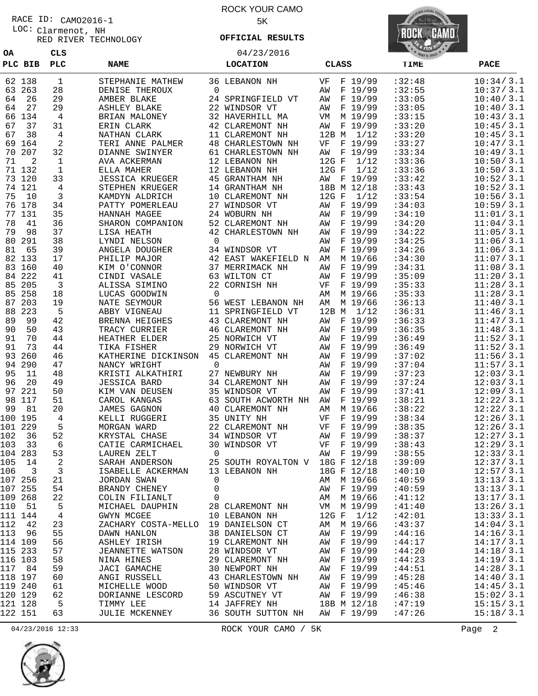Clarmenot, NH LOC: RACE ID: CAMO2016-1

**OA CLS**

RED RIVER TECHNOLOGY

ROCK YOUR CAMO 5K

04/23/2016 **OFFICIAL RESULTS**



| PLC BIB   | PLC          | <b>NAME</b>                         |                | <b>LOCATION</b>                                            | <b>CLASS</b>    | <b>TIME</b> | <b>PACE</b> |
|-----------|--------------|-------------------------------------|----------------|------------------------------------------------------------|-----------------|-------------|-------------|
| 62 138    | $\mathbf{1}$ | STEPHANIE MATHEW                    |                | 36 LEBANON NH                                              | F 19/99<br>VF   | :32:48      | 10:34 / 3.1 |
| 63 263    | 28           | DENISE THEROUX                      | $\Omega$       |                                                            | F 19/99<br>AW   | :32:55      | 10:37/3.1   |
| 64<br>26  | 29           | AMBER BLAKE                         |                | 24 SPRINGFIELD VT                                          | F 19/99<br>AW   | :33:05      | 10:40/3.1   |
| 27<br>64  | 29           | ASHLEY BLAKE                        |                | 22 WINDSOR VT                                              | F 19/99<br>AW   | :33:05      | 10:40/3.1   |
| 66 134    | 4            | BRIAN MALONEY                       |                | 32 HAVERHILL MA                                            | M 19/99<br>VM   | :33:15      | 10:43/3.1   |
| 37<br>67  | 31           | ERIN CLARK                          |                | 42 CLAREMONT NH                                            | F 19/99<br>AW   | :33:20      | 10:45/3.1   |
| 38<br>67  | 4            | NATHAN CLARK                        |                | 11 CLAREMONT NH                                            | 12B M 1/12      | :33:20      | 10:45/3.1   |
| 69 164    | 2            | TERI ANNE PALMER                    |                | <b>48 CHARLESTOWN NH</b>                                   | F 19/99<br>VF   | :33:27      | 10:47/3.1   |
| 70 207    | 32           | DIANNE SWINYER                      |                | 61 CHARLESTOWN NH                                          | F 19/99<br>AW   | :33:34      | 10:49/3.1   |
| 71<br>2   | 1            | AVA ACKERMAN                        |                | 12 LEBANON NH                                              | $12G$ F<br>1/12 | :33:36      | 10:50/3.1   |
| 71 132    | $\mathbf{1}$ | ELLA MAHER                          |                | 12 LEBANON NH                                              | $12G$ F<br>1/12 | :33:36      | 10:50/3.1   |
| 73 120    | 33           | <b>JESSICA KRUEGER</b>              |                | 45 GRANTHAM NH                                             | F 19/99<br>AW   | :33:42      | 10:52/3.1   |
| 74 121    | 4            | STEPHEN KRUEGER                     |                | 14 GRANTHAM NH                                             | 18B M 12/18     | :33:43      | 10:52/3.1   |
| 75<br>10  | 3            | KAMDYN ALDRICH                      |                | 10 CLAREMONT NH                                            | $12G$ F<br>1/12 | :33:54      | 10:56 / 3.1 |
| 76 178    | 34           | PATTY POMERLEAU                     |                | 27 WINDSOR VT                                              | F 19/99<br>AW   | :34:03      | 10:59/3.1   |
| 77<br>131 | 35           | HANNAH MAGEE                        |                | 24 WOBURN NH                                               | F 19/99<br>ΑW   | :34:10      | 11:01/3.1   |
| 41<br>78  | 36           | SHARON COMPANION                    |                | 52 CLAREMONT NH                                            | F 19/99<br>AW   | :34:20      | 11:04/3.1   |
| 98<br>79  | 37           | LISA HEATH                          |                | 42 CHARLESTOWN NH                                          | F 19/99<br>ΑW   | :34:22      | 11:05/3.1   |
| 291<br>80 | 38           | LYNDI NELSON                        | $\mathbf 0$    |                                                            | F 19/99<br>AW   | :34:25      | 11:06/3.1   |
| 81<br>65  | 39           | ANGELA DOUGHER                      |                | 34 WINDSOR VT                                              | F 19/99<br>AW   | :34:26      | 11:06/3.1   |
| 82 133    | 17           | PHILIP MAJOR                        |                | 42 EAST WAKEFIELD N                                        | M 19/66<br>AΜ   | :34:30      | 11:07/3.1   |
| 83 160    | 40           | KIM O'CONNOR                        |                | 37 MERRIMACK NH                                            | F 19/99<br>ΑW   | :34:31      | 11:08/3.1   |
| 84 222    | 41           | CINDI VASALE                        |                | 63 WILTON CT                                               | F 19/99<br>ΑW   | :35:09      | 11:20/3.1   |
| 85 205    | 3            | ALISSA SIMINO                       |                | 22 CORNISH NH                                              | F 19/99<br>VF   | :35:33      | 11:28/3.1   |
| 85 258    | 18           | LUCAS GOODWIN                       | $\overline{0}$ |                                                            | M 19/66<br>AΜ   | :35:33      | 11:28/3.1   |
| 203<br>87 | 19           | NATE SEYMOUR                        |                | 56 WEST LEBANON NH                                         | M 19/66<br>AΜ   | :36:13      | 11:40/3.1   |
| 223<br>88 | 5            | ABBY VIGNEAU                        |                | 11 SPRINGFIELD VT                                          | 12B M 1/12      | :36:31      | 11:46/3.1   |
| 89<br>99  | 42           | BRENNA HEIGHES                      |                | 43 CLAREMONT NH                                            | F 19/99<br>AW   | :36:33      | 11:47/3.1   |
| 50<br>90  | 43           | TRACY CURRIER                       |                | 46 CLAREMONT NH                                            | F 19/99<br>ΑW   | :36:35      | 11:48/3.1   |
| 70<br>91  | 44           | HEATHER ELDER                       |                | 25 NORWICH VT                                              | F 19/99<br>AW   | :36:49      | 11:52/3.1   |
| 73<br>91  | 44           | TIKA FISHER                         |                | 29 NORWICH VT                                              | F 19/99<br>ΑW   | :36:49      | 11:52/3.1   |
| 260<br>93 | 46           | KATHERINE DICKINSON                 |                | 45 CLAREMONT NH                                            | F 19/99<br>AW   | :37:02      | 11:56/3.1   |
| 94 290    | 47           | NANCY WRIGHT                        | $\mathbf 0$    |                                                            | F 19/99<br>ΑW   | :37:04      | 11:57/3.1   |
| 95<br>11  | 48           | KRISTI ALKATHIRI                    |                | 27 NEWBURY NH                                              | F 19/99<br>ΑW   | :37:23      | 12:03/3.1   |
| 20<br>96  | 49           | <b>JESSICA BARD</b>                 |                | 34 CLAREMONT NH                                            | F 19/99<br>AW   | :37:24      | 12:03/3.1   |
| 97 221    | 50           | KIM VAN DEUSEN                      |                | 35 WINDSOR VT                                              | F 19/99<br>ΑW   | :37:41      | 12:09/3.1   |
| 117<br>98 | 51           | CAROL KANGAS                        |                | 63 SOUTH ACWORTH NH                                        | F 19/99<br>ΑW   | :38:21      | 12:22/3.1   |
| 81<br>99  | 20           | <b>JAMES GAGNON</b>                 |                | 40 CLAREMONT NH                                            | M 19/66<br>AΜ   | :38:22      | 12:22/3.1   |
| 100 195   | 4            | KELLI RUGGERI                       |                | 35 UNITY NH                                                | F 19/99<br>VF   | :38:34      | 12:26/3.1   |
| 101 229   | 5            | MORGAN WARD                         |                | 22 CLAREMONT NH                                            | VF<br>F 19/99   | :38:35      | 12:26/3.1   |
| 102<br>36 | 52           | KRYSTAL CHASE                       |                | 34 WINDSOR VT                                              | F 19/99<br>ΑW   | :38:37      | 12:27/3.1   |
| 33<br>103 | 6            | CATIE CARMICHAEL                    |                | 30 WINDSOR VT                                              | F 19/99<br>VF   | :38:43      | 12:29/3.1   |
| 104 283   | 53           | LAUREN ZELT                         | $\Omega$       |                                                            | AW F 19/99      | :38:55      | 12:33/3.1   |
| 105 14    | 2            |                                     |                | 25 SOUTH ROYALTON V 18G F 12/18                            |                 | :39:09      | 12:37/3.1   |
| 106 3     | $\mathbf{3}$ |                                     |                |                                                            | 18G F 12/18     | :40:10      | 12:57/3.1   |
| 107 256   | 21           | JORDAN SWAN                         | $\overline{0}$ |                                                            | AM M 19/66      | :40:59      | 13:13/3.1   |
| 107 255   | 54           | BRANDY CHENEY                       | $\mathbf 0$    |                                                            | AW F 19/99      | :40:59      | 13:13/3.1   |
| 109 268   | 22           | COLIN FILIANLT                      | $\mathbf 0$    |                                                            | AM M 19/66      | :41:12      | 13:17/3.1   |
| 110 51    | 5            | MICHAEL DAUPHIN                     |                | 28 CLAREMONT NH                                            | VM M 19/99      | :41:40      | 13:26/3.1   |
| 111 144   | 4            | GWYN MCGEE                          |                | 10 LEBANON NH                                              | 12G F 1/12      | :42:01      | 13:33/3.1   |
| 112<br>42 | 23           | ZACHARY COSTA-MELLO 19 DANIELSON CT |                |                                                            | AM M 19/66      | :43:37      | 14:04/3.1   |
| 113 96    | 55           | DAWN HANLON                         |                | 38 DANIELSON CT                                            | AW F 19/99      | :44:16      | 14:16/3.1   |
| 114 109   | 56           | ASHLEY IRISH                        |                | 19 CLAREMONT NH                                            | AW F 19/99      | :44:17      | 14:17/3.1   |
| 115 233   | 57           | JEANNETTE WATSON                    |                | 28 WINDSOR VT                                              | AW F 19/99      | :44:20      | 14:18/3.1   |
| 116 103   | 58           | NINA HINES                          |                | 29 CLAREMONT NH                                            | AW F 19/99      | :44:23      | 14:19/3.1   |
| 117 84    | 59           | JACI GAMACHE                        |                | 30 NEWPORT NH                                              | AW F 19/99      | :44:51      | 14:28/3.1   |
| 118 197   | 60           | ANGI RUSSELL                        |                | 43 CHARLESTOWN NH                                          | AW F 19/99      | :45:28      | 14:40/3.1   |
| 119 240   | 61           | MICHELLE WOOD                       |                | 50 WINDSOR VT                                              | AW F 19/99      | :45:46      | 14:45/3.1   |
| 120 129   | 62           | DORIANNE LESCORD                    |                | 59 ASCUTNEY VT                                             | AW F 19/99      | :46:38      | 15:02/3.1   |
| 121 128   | 5            | TIMMY LEE                           |                | 14 JAFFREY NH 18B M 12/18<br>36 SOUTH SUTTON NH AW F 19/99 |                 | :47:19      | 15:15/3.1   |
| 122 151   | 63           | JULIE MCKENNEY                      |                |                                                            |                 | :47:26      | 15:18/3.1   |

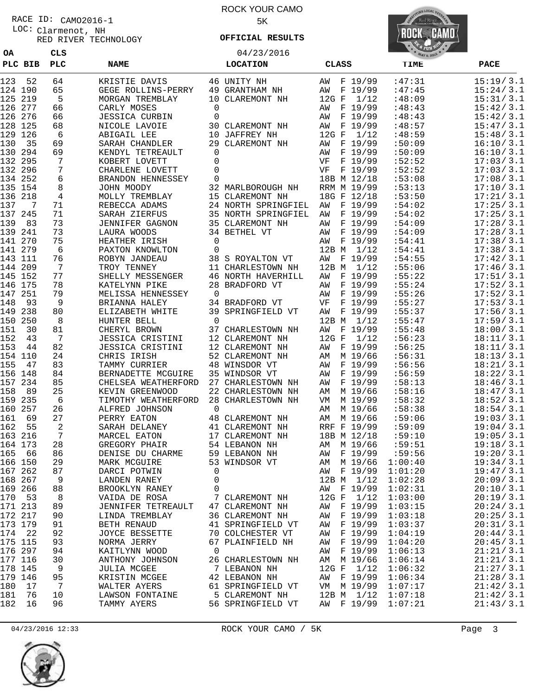Clarmenot, NH LOC: RACE ID: CAMO2016-1

**OA CLS**

RED RIVER TECHNOLOGY

### ROCK YOUR CAMO 5K

**OFFICIAL RESULTS**

04/23/2016



|            | PLC BIB  | PLC                  | <b>NAME</b>                                        |                | <b>LOCATION</b>                      | <b>CLASS</b>                     | TIME             | <b>PACE</b>            |
|------------|----------|----------------------|----------------------------------------------------|----------------|--------------------------------------|----------------------------------|------------------|------------------------|
| 123        | 52       | 64                   | KRISTIE DAVIS                                      |                | 46 UNITY NH                          | AW F 19/99                       | :47:31           | 15:19/3.1              |
| 124 190    |          | 65                   | GEGE ROLLINS-PERRY                                 |                | 49 GRANTHAM NH                       | F 19/99<br>AW                    | :47:45           | 15:24/3.1              |
| 125 219    |          | 5                    | MORGAN TREMBLAY                                    |                | 10 CLAREMONT NH                      | 1/12<br>12G F                    | :48:09           | 15:31/3.1              |
| 126 277    |          | 66                   | CARLY MOSES                                        | 0              |                                      | F 19/99<br>AW                    | :48:43           | 15:42/3.1              |
| 126 276    |          | 66                   | <b>JESSICA CURBIN</b>                              | 0              |                                      | F 19/99<br>AW                    | :48:43           | 15:42/3.1              |
| 128 125    |          | 68                   | NICOLE LAVOIE                                      |                | 30 CLAREMONT NH                      | F 19/99<br>AW                    | :48:57           | 15:47/3.1              |
| 129 126    |          | 6                    | ABIGAIL LEE                                        |                | 10 JAFFREY NH                        | $12G$ F<br>1/12                  | :48:59           | 15:48/3.1              |
| 130        | 35       | 69                   | SARAH CHANDLER                                     |                | 29 CLAREMONT NH                      | F 19/99<br>AW                    | :50:09           | 16:10/3.1              |
| 130 294    |          | 69                   | KENDYL TETREAULT                                   | 0              |                                      | F 19/99<br>AW                    | :50:09           | 16:10/3.1              |
| 132 295    |          | 7                    | KOBERT LOVETT                                      | 0              |                                      | VF<br>F 19/99                    | :52:52           | 17:03/3.1              |
| 132 296    |          | $\overline{7}$       | CHARLENE LOVETT                                    | 0              |                                      | VF<br>F 19/99                    | :52:52           | 17:03/3.1              |
| 134 252    |          | 6                    | BRANDON HENNESSEY                                  | 0              |                                      | 18B M 12/18                      | :53:08           | 17:08/3.1              |
| 135 154    |          | 8                    | JOHN MOODY                                         |                | 32 MARLBOROUGH NH                    | RRM M 19/99                      | :53:13           | 17:10/3.1              |
| 136 218    |          | $\overline{4}$       | MOLLY TREMBLAY                                     |                | 15 CLAREMONT NH                      | 18G F 12/18                      | :53:50           | 17:21/3.1              |
| 137        | 7        | 71                   | REBECCA ADAMS                                      |                | 24 NORTH SPRINGFIEL                  | F 19/99<br>AW                    | :54:02           | 17:25/3.1              |
| 137 245    |          | 71                   | SARAH ZIERFUS                                      |                | 35 NORTH SPRINGFIEL                  | F 19/99<br>AW                    | :54:02           | 17:25/3.1              |
| 139        | 83       | 73                   | <b>JENNIFER GAGNON</b>                             |                | 35 CLAREMONT NH                      | F 19/99<br>AW                    | :54:09           | 17:28 / 3.1            |
| 139 241    |          | 73                   | LAURA WOODS                                        |                | 34 BETHEL VT                         | F 19/99<br>AW                    | :54:09           | 17:28/3.1              |
| 141 270    |          | 75                   | HEATHER IRISH                                      | 0              |                                      | AW F 19/99                       | :54:41           | 17:38/3.1              |
| 141 279    |          | 6                    | PAXTON KNOWLTON                                    | 0              |                                      | $12B$ M<br>1/12                  | :54:41           | 17:38/3.1              |
| 143 111    |          | 76                   | ROBYN JANDEAU                                      |                | 38 S ROYALTON VT                     | F 19/99<br>AW                    | :54:55           | 17:42/3.1              |
| 144 209    |          | $7\phantom{.0}$      | TROY TENNEY                                        |                | 11 CHARLESTOWN NH                    | 12B M 1/12                       | :55:06           | 17:46/3.1              |
| 145 152    |          | 77                   | SHELLY MESSENGER                                   |                | 46 NORTH HAVERHILL                   | F 19/99<br>AW                    | :55:22           | 17:51/3.1              |
| 146 175    |          | 78                   | KATELYNN PIKE                                      |                | 28 BRADFORD VT                       | F 19/99<br>AW                    | :55:24           | 17:52/3.1              |
| 147 251    |          | 79                   | MELISSA HENNESSEY                                  | $\overline{0}$ |                                      | F 19/99<br>AW                    | :55:26           | 17:52/3.1              |
| 148        | 93       | 9                    | BRIANNA HALEY                                      |                | 34 BRADFORD VT                       | VF<br>F 19/99                    | :55:27           | 17:53/3.1              |
| 149 238    |          | 80                   | ELIZABETH WHITE                                    |                | 39 SPRINGFIELD VT                    | AW<br>F 19/99                    | :55:37           | 17:56/3.1              |
| 150        | 250      | 8                    | HUNTER BELL                                        | $\overline{0}$ |                                      | 12B M 1/12                       | :55:47           | 17:59/3.1              |
| 151        | 30<br>43 | 81<br>$\overline{7}$ | CHERYL BROWN                                       |                | 37 CHARLESTOWN NH<br>12 CLAREMONT NH | F 19/99<br>AW<br>$12G$ F<br>1/12 | :55:48<br>:56:23 | 18:00/3.1<br>18:11/3.1 |
| 152<br>153 | 44       | 82                   | <b>JESSICA CRISTINI</b><br><b>JESSICA CRISTINI</b> |                | 12 CLAREMONT NH                      | F 19/99                          | :56:25           | 18:11/3.1              |
| 154 110    |          | 24                   | CHRIS IRISH                                        |                | 52 CLAREMONT NH                      | AW<br>AM M 19/66                 | :56:31           | 18:13/3.1              |
| 155        | 47       | 83                   | TAMMY CURRIER                                      |                | 48 WINSDOR VT                        | F 19/99<br>AW                    | :56:56           | 18:21/3.1              |
| 156 148    |          | 84                   | BERNADETTE MCGUIRE                                 |                | 35 WINDSOR VT                        | F 19/99<br>AW                    | :56:59           | 18:22/3.1              |
| 157 234    |          | 85                   | CHELSEA WEATHERFORD                                |                | 27 CHARLESTOWN NH                    | F 19/99<br>AW                    | :58:13           | 18:46/3.1              |
| 158        | 89       | 25                   | KEVIN GREENWOOD                                    |                | 22 CHARLESTOWN NH                    | AM M 19/66                       | :58:16           | 18:47/3.1              |
| 159 235    |          | 6                    | TIMOTHY WEATHERFORD                                |                | 28 CHARLESTOWN NH                    | M 19/99<br>VM                    | :58:32           | 18:52/3.1              |
| 160        | 257      | 26                   | ALFRED JOHNSON                                     | $\mathbf 0$    |                                      | M 19/66<br>AM                    | :58:38           | 18:54/3.1              |
| 161        | 69       | 27                   | PERRY EATON                                        |                | 48 CLAREMONT NH                      | AM M 19/66                       | :59:06           | 19:03/3.1              |
| 162        | 55       | 2                    | SARAH DELANEY                                      |                | 41 CLAREMONT NH                      | RRF F 19/99                      | :59:09           | 19:04/3.1              |
| 163 216    |          | $\overline{7}$       | MARCEL EATON                                       |                | 17 CLAREMONT NH                      | 18B M 12/18                      | :59:10           | 19:05/3.1              |
| 164 173    |          | 28                   | GREGORY PHAIR                                      |                | 54 LEBANON NH                        | AM M 19/66                       | :59:51           | 19:18/3.1              |
| 165 66     |          | 86                   | DENISE DU CHARME                                   |                | 59 LEBANON NH                        | AW F 19/99                       | :59:56           | 19:20/3.1              |
| 166 150    |          | 29                   | MARK MCGUIRE                                       |                | 53 WINDSOR VT                        | AM M 19/66                       | 1:00:40          | 19:34/3.1              |
| 167 262    |          | 87                   | DARCI POTWIN                                       | 0              |                                      | AW F 19/99                       | 1:01:20          | 19:47/3.1              |
| 168 267    |          | 9                    | LANDEN RANEY                                       | 0              |                                      | 12B M 1/12                       | 1:02:28          | 20:09/3.1              |
| 169 266    |          | 88                   | BROOKLYN RANEY                                     | 0              |                                      | AW F 19/99                       | 1:02:31          | 20:10/3.1              |
| 170        | 53       | 8                    | VAIDA DE ROSA                                      |                | 7 CLAREMONT NH                       | 12G F 1/12                       | 1:03:00          | 20:19/3.1              |
| 171 213    |          | 89                   | JENNIFER TETREAULT                                 |                | 47 CLAREMONT NH                      | AW F 19/99                       | 1:03:15          | 20:24/3.1              |
| 172 217    |          | 90                   | LINDA TREMBLAY                                     |                | 36 CLAREMONT NH                      | AW F 19/99                       | 1:03:18          | 20:25/3.1              |
| 173 179    |          | 91                   | BETH RENAUD                                        |                | 41 SPRINGFIELD VT                    | AW F 19/99                       | 1:03:37          | 20:31/3.1              |
| 174 22     |          | 92                   | JOYCE BESSETTE                                     |                | 70 COLCHESTER VT                     | AW F 19/99                       | 1:04:19          | 20:44/3.1              |
| 175 115    |          | 93                   | NORMA JERRY                                        |                | 67 PLAINFIELD NH                     | AW F 19/99                       | 1:04:20          | 20:45/3.1              |
| 176 297    |          | 94                   | KAITLYNN WOOD                                      | $\overline{0}$ |                                      | AW F 19/99                       | 1:06:13          | 21:21/3.1              |
| 177 116    |          | 30                   | ANTHONY JOHNSON                                    |                | 26 CHARLESTOWN NH                    | AM M 19/66                       | 1:06:14          | 21:21/3.1              |
| 178 145    |          | - 9                  | JULIA MCGEE                                        |                | 7 LEBANON NH                         | 12G F $1/12$                     | 1:06:32          | 21:27/3.1              |
| 179 146    |          | 95                   | KRISTIN MCGEE                                      |                | 42 LEBANON NH                        | AW F 19/99                       | 1:06:34          | 21:28/3.1              |
| 180        | 17       | $7\overline{ }$      | WALTER AYERS                                       |                | 61 SPRINGFIELD VT                    | VM M 19/99                       | 1:07:17          | 21:42/3.1              |
| 181        | 76       | 10                   | LAWSON FONTAINE                                    |                | 5 CLAREMONT NH                       | 12B M 1/12                       | 1:07:18          | 21:42/3.1              |
| 182        | 16       | 96                   | TAMMY AYERS                                        |                | 56 SPRINGFIELD VT                    | AW F 19/99 1:07:21               |                  | 21:43/3.1              |

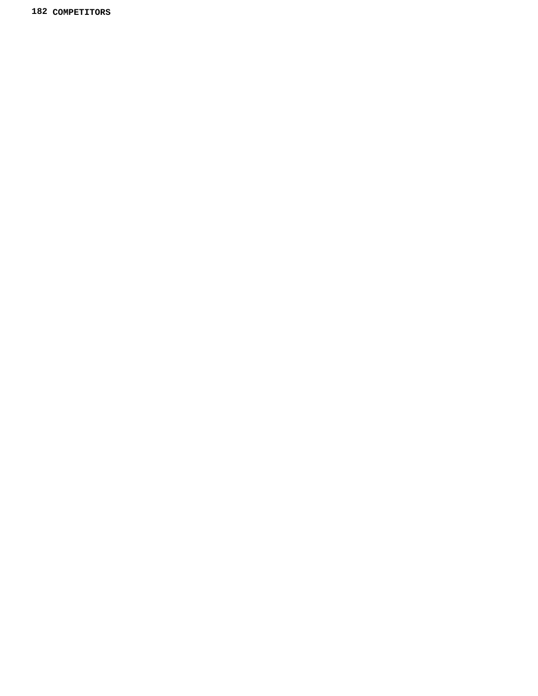**COMPETITORS**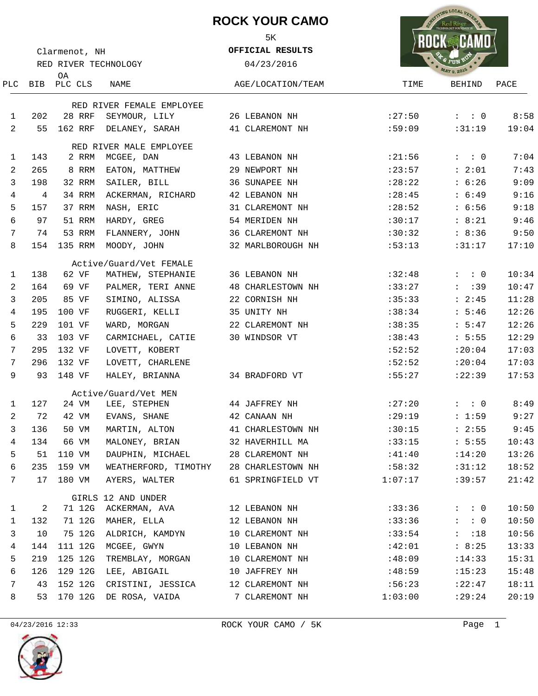## **ROCK YOUR CAMO** 5K



| Clarmenot, NH |                      |                   |                                       | OFFICIAL RESULTS         |         |                              |       |
|---------------|----------------------|-------------------|---------------------------------------|--------------------------|---------|------------------------------|-------|
|               | RED RIVER TECHNOLOGY |                   |                                       | 04/23/2016               |         |                              |       |
| PLC.          |                      | ОA<br>BIB PLC CLS | NAME                                  | AGE/LOCATION/TEAM        | TIME    | <b>MAY 9, 2015</b><br>BEHIND | PACE  |
|               |                      |                   | RED RIVER FEMALE EMPLOYEE             |                          |         |                              |       |
| 1             | 202                  | 28 RRF            | SEYMOUR, LILY                         | 26 LEBANON NH            | : 27:50 | $:$ : 0                      | 8:58  |
| 2             | 55                   | 162 RRF           | DELANEY, SARAH                        | 41 CLAREMONT NH          | :59:09  | :31:19                       | 19:04 |
|               |                      |                   |                                       |                          |         |                              |       |
| 1             | 143                  | 2 RRM             | RED RIVER MALE EMPLOYEE<br>MCGEE, DAN | 43 LEBANON NH            | : 21:56 | $\colon$ $\colon$ 0          | 7:04  |
| 2             | 265                  | 8 RRM             | EATON, MATTHEW                        | 29 NEWPORT NH            | : 23:57 | : 2:01                       | 7:43  |
| 3             | 198                  | 32 RRM            | SAILER, BILL                          | 36 SUNAPEE NH            | : 28:22 | : 6:26                       | 9:09  |
| 4             | 4                    | 34 RRM            | ACKERMAN, RICHARD                     | 42 LEBANON NH            | : 28:45 | : 6:49                       | 9:16  |
| 5             | 157                  | 37 RRM            | NASH, ERIC                            | 31 CLAREMONT NH          | : 28:52 | : 6:56                       | 9:18  |
| б             | 97                   | 51 RRM            | HARDY, GREG                           | 54 MERIDEN NH            | :30:17  | : 8:21                       | 9:46  |
| 7             | 74                   | 53 RRM            | FLANNERY, JOHN                        | 36 CLAREMONT NH          | :30:32  | : 8:36                       | 9:50  |
| 8             | 154                  |                   | 135 RRM MOODY, JOHN                   | 32 MARLBOROUGH NH        | :53:13  | :31:17                       | 17:10 |
|               |                      |                   | Active/Guard/Vet FEMALE               |                          |         |                              |       |
| 1             | 138                  | 62 VF             | MATHEW, STEPHANIE                     | 36 LEBANON NH            | :32:48  | $\colon$ $\colon$ 0          | 10:34 |
| 2             | 164                  | 69 VF             | PALMER, TERI ANNE                     | <b>48 CHARLESTOWN NH</b> | :33:27  | $:$ : 39                     | 10:47 |
| 3             | 205                  | 85 VF             | SIMINO, ALISSA                        | 22 CORNISH NH            | :35:33  | : 2:45                       | 11:28 |
| 4             | 195                  | 100 VF            | RUGGERI, KELLI                        | 35 UNITY NH              | :38:34  | : 5:46                       | 12:26 |
| 5             | 229                  | 101 VF            | WARD, MORGAN                          | 22 CLAREMONT NH          | :38:35  | : 5:47                       | 12:26 |
| 6             | 33                   | 103 VF            | CARMICHAEL, CATIE                     | 30 WINDSOR VT            | :38:43  | : 5:55                       | 12:29 |
| 7             | 295                  | 132 VF            | LOVETT, KOBERT                        |                          | :52:52  | : 20:04                      | 17:03 |
| 7             | 296                  | 132 VF            | LOVETT, CHARLENE                      |                          | :52:52  | : 20:04                      | 17:03 |
| 9             | 93                   | 148 VF            | HALEY, BRIANNA                        | 34 BRADFORD VT           | :55:27  | :22:39                       | 17:53 |
|               |                      |                   | Active/Guard/Vet MEN                  |                          |         |                              |       |
| 1             | 127                  | 24 VM             | LEE, STEPHEN                          | 44 JAFFREY NH            | :27:20  | $: \quad : \quad 0$          | 8:49  |
| 2             | 72                   | 42 VM             | EVANS, SHANE                          | 42 CANAAN NH             | :29:19  | : 1:59                       | 9:27  |
| 3             | 136                  | 50 VM             | MARTIN, ALTON                         | 41 CHARLESTOWN NH        | :30:15  | : 2:55                       | 9:45  |
| 4             | 134                  | 66 VM             | MALONEY, BRIAN                        | 32 HAVERHILL MA          | :33:15  | : 5:55                       | 10:43 |
| 5             | 51                   | 110 VM            | DAUPHIN, MICHAEL                      | 28 CLAREMONT NH          | :41:40  | :14:20                       | 13:26 |
| 6             | 235                  | 159 VM            | WEATHERFORD, TIMOTHY                  | 28 CHARLESTOWN NH        | :58:32  | :31:12                       | 18:52 |
| 7             | 17                   | 180 VM            | AYERS, WALTER                         | 61 SPRINGFIELD VT        | 1:07:17 | :39:57                       | 21:42 |
|               |                      |                   | GIRLS 12 AND UNDER                    |                          |         |                              |       |
| 1             | 2                    | 71 12G            | ACKERMAN, AVA                         | 12 LEBANON NH            | :33:36  | $: \quad : \quad 0$          | 10:50 |
| 1             | 132                  | 71 12G            | MAHER, ELLA                           | 12 LEBANON NH            | :33:36  | $: \quad : \quad 0$          | 10:50 |
| 3             | 10                   | 75 12G            | ALDRICH, KAMDYN                       | 10 CLAREMONT NH          | :33:54  | $\mathbf{L}$<br>:18          | 10:56 |
| 4             | 144                  | 111 12G           | MCGEE, GWYN                           | 10 LEBANON NH            | :42:01  | : 8:25                       | 13:33 |
| 5             | 219                  | 125 12G           | TREMBLAY, MORGAN                      | 10 CLAREMONT NH          | :48:09  | : 14:33                      | 15:31 |
| 6             | 126                  | 129 12G           | LEE, ABIGAIL                          | 10 JAFFREY NH            | :48:59  | :15:23                       | 15:48 |
| 7             | 43                   | 152 12G           | CRISTINI, JESSICA                     | 12 CLAREMONT NH          | :56:23  | :22:47                       | 18:11 |
| 8             | 53                   | 170 12G           | DE ROSA, VAIDA                        | 7 CLAREMONT NH           | 1:03:00 | : 29:24                      | 20:19 |

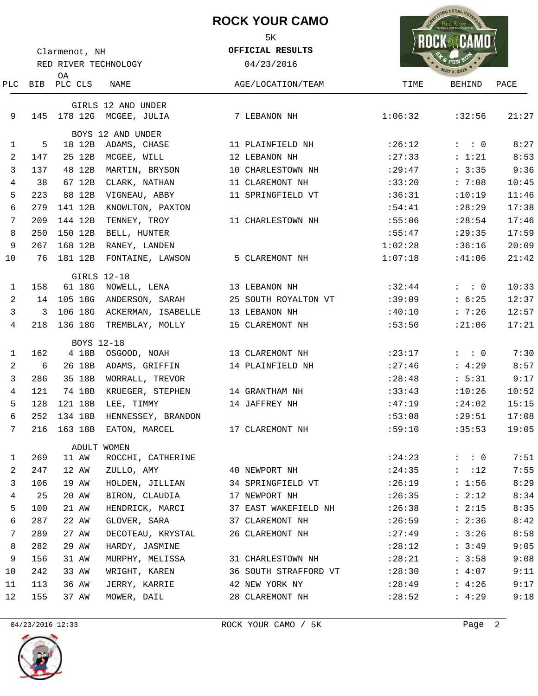|            |                                       |             |                                    | <b>ROCK YOUR CAMO</b><br>5K<br>OFFICIAL RESULTS |         | NG LOCAL VET        |       |
|------------|---------------------------------------|-------------|------------------------------------|-------------------------------------------------|---------|---------------------|-------|
|            | Clarmenot, NH<br>RED RIVER TECHNOLOGY |             |                                    | 04/23/2016                                      |         |                     |       |
|            |                                       | 0A          |                                    |                                                 |         |                     |       |
| <b>PLC</b> |                                       | BIB PLC CLS | NAME                               | AGE/LOCATION/TEAM                               | TIME    | BEHIND              | PACE  |
| 9          | 145                                   | 178 12G     | GIRLS 12 AND UNDER<br>MCGEE, JULIA | 7 LEBANON NH                                    | 1:06:32 | :32:56              | 21:27 |
|            |                                       |             | BOYS 12 AND UNDER                  |                                                 |         |                     |       |
| 1          | 5                                     | 18 12B      | ADAMS, CHASE                       | 11 PLAINFIELD NH                                | :26:12  | $: \quad : \quad 0$ | 8:27  |
| 2          | 147                                   | 25 12B      | MCGEE, WILL                        | 12 LEBANON NH                                   | : 27:33 | : 1:21              | 8:53  |
| 3          | 137                                   | 48 12B      | MARTIN, BRYSON                     | 10 CHARLESTOWN NH                               | : 29:47 | : 3:35              | 9:36  |
| 4          | 38                                    | 67 12B      | CLARK, NATHAN                      | 11 CLAREMONT NH                                 | :33:20  | : 7:08              | 10:45 |
| 5          | 223                                   | 88 12B      | VIGNEAU, ABBY                      | 11 SPRINGFIELD VT                               | :36:31  | :10:19              | 11:46 |
| 6          | 279                                   | 141 12B     | KNOWLTON, PAXTON                   |                                                 | :54:41  | : 28:29             | 17:38 |
| 7          | 209                                   | 144 12B     | TENNEY, TROY                       | 11 CHARLESTOWN NH                               | :55:06  | : 28:54             | 17:46 |
| 8          | 250                                   | 150 12B     | BELL, HUNTER                       |                                                 | :55:47  | : 29:35             | 17:59 |
| 9          | 267                                   | 168 12B     | RANEY, LANDEN                      |                                                 | 1:02:28 | :36:16              | 20:09 |
| 10         | 76                                    | 181 12B     | FONTAINE, LAWSON                   | 5 CLAREMONT NH                                  | 1:07:18 | :41:06              | 21:42 |
| 1          | 158                                   |             | GIRLS 12-18<br>61 18G NOWELL, LENA | 13 LEBANON NH                                   | :32:44  | $: \quad : \quad 0$ | 10:33 |
| 2          | 14                                    | 105 18G     | ANDERSON, SARAH                    | 25 SOUTH ROYALTON VT                            | :39:09  | : 6:25              | 12:37 |
| 3          | 3                                     | 106 18G     | ACKERMAN, ISABELLE                 | 13 LEBANON NH                                   | :40:10  | : 7:26              | 12:57 |
| 4          | 218                                   | 136 18G     | TREMBLAY, MOLLY                    | 15 CLAREMONT NH                                 | :53:50  | :21:06              | 17:21 |
|            |                                       |             | BOYS 12-18                         |                                                 |         |                     |       |
| 1          | 162                                   | 4 18B       | OSGOOD, NOAH                       | 13 CLAREMONT NH                                 | :23:17  | $: \quad : \quad 0$ | 7:30  |
| 2          | 6                                     | 26 18B      | ADAMS, GRIFFIN                     | 14 PLAINFIELD NH                                | : 27:46 | : 4:29              | 8:57  |
| 3          | 286                                   | 35 18B      | WORRALL, TREVOR                    |                                                 | : 28:48 | : 5:31              | 9:17  |
| 4          | 121                                   | 74 18B      | KRUEGER, STEPHEN                   | 14 GRANTHAM NH                                  | :33:43  | :10:26              | 10:52 |
| 5          | 128                                   | 121 18B     | LEE, TIMMY                         | 14 JAFFREY NH                                   | :47:19  | : 24:02             | 15:15 |
| 6          | 252                                   |             | 134 18B HENNESSEY, BRANDON         |                                                 | :53:08  | :29:51              | 17:08 |
| 7          | 216                                   |             | 163 18B EATON, MARCEL              | 17 CLAREMONT NH                                 | :59:10  | :35:53              | 19:05 |
|            |                                       |             | ADULT WOMEN                        |                                                 |         |                     |       |
| 1          | 269                                   | 11 AW       | ROCCHI, CATHERINE                  |                                                 | : 24:23 | $:$ : 0             | 7:51  |
| 2          | 247                                   | 12 AW       | ZULLO, AMY                         | 40 NEWPORT NH                                   | : 24:35 | $:$ :12             | 7:55  |
| 3          | 106                                   | 19 AW       | HOLDEN, JILLIAN                    | 34 SPRINGFIELD VT                               | :26:19  | : 1:56              | 8:29  |
| 4          | 25                                    | 20 AW       | BIRON, CLAUDIA                     | 17 NEWPORT NH                                   | : 26:35 | : 2:12              | 8:34  |
| 5          | 100                                   | 21 AW       | HENDRICK, MARCI                    | 37 EAST WAKEFIELD NH                            | :26:38  | : 2:15              | 8:35  |
| 6          | 287                                   | 22 AW       | GLOVER, SARA                       | 37 CLAREMONT NH                                 | :26:59  | : 2:36              | 8:42  |
| 7          | 289                                   | 27 AW       | DECOTEAU, KRYSTAL                  | 26 CLAREMONT NH                                 | : 27:49 | : 3:26              | 8:58  |
| 8          | 282                                   | 29 AW       | HARDY, JASMINE                     |                                                 | :28:12  | : 3:49              | 9:05  |
| 9          | 156                                   | 31 AW       | MURPHY, MELISSA                    | 31 CHARLESTOWN NH                               | :28:21  | : 3:58              | 9:08  |
| 10         | 242                                   | 33 AW       | WRIGHT, KAREN                      | 36 SOUTH STRAFFORD VT                           | : 28:30 | : 4:07              | 9:11  |
| 11         | 113                                   | 36 AW       | JERRY, KARRIE                      | 42 NEW YORK NY                                  | : 28:49 | : 4:26              | 9:17  |
| 12         | 155                                   | 37 AW       | MOWER, DAIL                        | 28 CLAREMONT NH                                 | : 28:52 | : 4:29              | 9:18  |



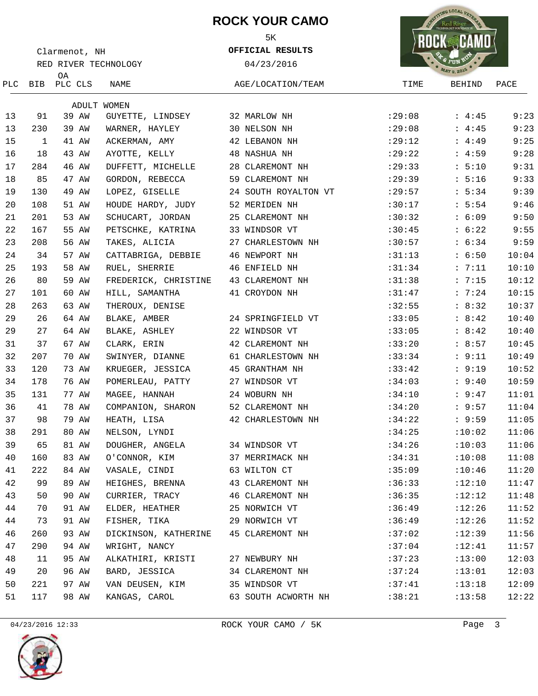## **ROCK YOUR CAMO**



**OFFICIAL RESULTS**



| Clarmenot, NH |              |                       |                      | OFFICIAL RESULTS     |                    |        |       |  |  |
|---------------|--------------|-----------------------|----------------------|----------------------|--------------------|--------|-------|--|--|
|               |              | RED RIVER TECHNOLOGY  |                      | 04/23/2016           | <b>MAY 9, 2015</b> |        |       |  |  |
|               |              | 0A<br>PLC BIB PLC CLS | NAME                 | AGE/LOCATION/TEAM    | TIME               | BEHIND | PACE  |  |  |
|               |              |                       | ADULT WOMEN          |                      |                    |        |       |  |  |
| 13            | 91           | 39 AW                 | GUYETTE, LINDSEY     | 32 MARLOW NH         | :29:08             | : 4:45 | 9:23  |  |  |
| 13            | 230          | 39 AW                 | WARNER, HAYLEY       | 30 NELSON NH         | :29:08             | : 4:45 | 9:23  |  |  |
| 15            | $\mathbf{1}$ | 41 AW                 | ACKERMAN, AMY        | 42 LEBANON NH        | :29:12             | : 4:49 | 9:25  |  |  |
| 16            | 18           | 43 AW                 | AYOTTE, KELLY        | 48 NASHUA NH         | :29:22             | : 4:59 | 9:28  |  |  |
| 17            | 284          | 46 AW                 | DUFFETT, MICHELLE    | 28 CLAREMONT NH      | : 29:33            | : 5:10 | 9:31  |  |  |
| 18            | 85           | 47 AW                 | GORDON, REBECCA      | 59 CLAREMONT NH      | :29:39             | : 5:16 | 9:33  |  |  |
| 19            | 130          | 49 AW                 | LOPEZ, GISELLE       | 24 SOUTH ROYALTON VT | : 29:57            | : 5:34 | 9:39  |  |  |
| 20            | 108          | 51 AW                 | HOUDE HARDY, JUDY    | 52 MERIDEN NH        | :30:17             | : 5:54 | 9:46  |  |  |
| 21            | 201          | 53 AW                 | SCHUCART, JORDAN     | 25 CLAREMONT NH      | :30:32             | : 6:09 | 9:50  |  |  |
| 22            | 167          | 55 AW                 | PETSCHKE, KATRINA    | 33 WINDSOR VT        | :30:45             | : 6:22 | 9:55  |  |  |
| 23            | 208          | 56 AW                 | TAKES, ALICIA        | 27 CHARLESTOWN NH    | :30:57             | : 6:34 | 9:59  |  |  |
| 24            | 34           | 57 AW                 | CATTABRIGA, DEBBIE   | 46 NEWPORT NH        | :31:13             | : 6:50 | 10:04 |  |  |
| 25            | 193          | 58 AW                 | RUEL, SHERRIE        | 46 ENFIELD NH        | :31:34             | : 7:11 | 10:10 |  |  |
| 26            | 80           | 59 AW                 | FREDERICK, CHRISTINE | 43 CLAREMONT NH      | :31:38             | : 7:15 | 10:12 |  |  |
| 27            | 101          | 60 AW                 | HILL, SAMANTHA       | 41 CROYDON NH        | :31:47             | : 7:24 | 10:15 |  |  |
| 28            | 263          | 63 AW                 | THEROUX, DENISE      |                      | :32:55             | : 8:32 | 10:37 |  |  |
| 29            | 26           | 64 AW                 | BLAKE, AMBER         | 24 SPRINGFIELD VT    | :33:05             | : 8:42 | 10:40 |  |  |
| 29            | 27           | 64 AW                 | BLAKE, ASHLEY        | 22 WINDSOR VT        | :33:05             | : 8:42 | 10:40 |  |  |
| 31            | 37           | 67 AW                 | CLARK, ERIN          | 42 CLAREMONT NH      | :33:20             | : 8:57 | 10:45 |  |  |
| 32            | 207          | 70 AW                 | SWINYER, DIANNE      | 61 CHARLESTOWN NH    | :33:34             | : 9:11 | 10:49 |  |  |
| 33            | 120          | 73 AW                 | KRUEGER, JESSICA     | 45 GRANTHAM NH       | :33:42             | : 9:19 | 10:52 |  |  |
| 34            | 178          | 76 AW                 | POMERLEAU, PATTY     | 27 WINDSOR VT        | :34:03             | : 9:40 | 10:59 |  |  |
| 35            | 131          | 77 AW                 | MAGEE, HANNAH        | 24 WOBURN NH         | :34:10             | : 9:47 | 11:01 |  |  |
| 36            | 41           | 78 AW                 | COMPANION, SHARON    | 52 CLAREMONT NH      | :34:20             | : 9:57 | 11:04 |  |  |
| 37            | 98           | 79 AW                 | HEATH, LISA          | 42 CHARLESTOWN NH    | :34:22             | : 9:59 | 11:05 |  |  |
| 38            | 291          | 80 AW                 | NELSON, LYNDI        |                      | :34:25             | :10:02 | 11:06 |  |  |
| 39            | 65           | 81 AW                 | DOUGHER, ANGELA      | 34 WINDSOR VT        | :34:26             | :10:03 | 11:06 |  |  |
| 40            | 160          | 83 AW                 | O'CONNOR, KIM        | 37 MERRIMACK NH      | :34:31             | :10:08 | 11:08 |  |  |
| 41            | 222          | 84 AW                 | VASALE, CINDI        | 63 WILTON CT         | :35:09             | :10:46 | 11:20 |  |  |
| 42            | 99           | 89 AW                 | HEIGHES, BRENNA      | 43 CLAREMONT NH      | :36:33             | :12:10 | 11:47 |  |  |
| 43            | 50           | 90 AW                 | CURRIER, TRACY       | 46 CLAREMONT NH      | :36:35             | :12:12 | 11:48 |  |  |
| 44            | 70           | 91 AW                 | ELDER, HEATHER       | 25 NORWICH VT        | :36:49             | :12:26 | 11:52 |  |  |
| 44            | 73           | 91 AW                 | FISHER, TIKA         | 29 NORWICH VT        | :36:49             | :12:26 | 11:52 |  |  |
| 46            | 260          | 93 AW                 | DICKINSON, KATHERINE | 45 CLAREMONT NH      | :37:02             | :12:39 | 11:56 |  |  |
| 47            | 290          | 94 AW                 | WRIGHT, NANCY        |                      | :37:04             | :12:41 | 11:57 |  |  |
| 48            | 11           | 95 AW                 | ALKATHIRI, KRISTI    | 27 NEWBURY NH        | :37:23             | :13:00 | 12:03 |  |  |
| 49            | 20           | 96 AW                 | BARD, JESSICA        | 34 CLAREMONT NH      | :37:24             | :13:01 | 12:03 |  |  |
| 50            | 221          | 97 AW                 | VAN DEUSEN, KIM      | 35 WINDSOR VT        | :37:41             | :13:18 | 12:09 |  |  |
| 51            | 117          | 98 AW                 | KANGAS, CAROL        | 63 SOUTH ACWORTH NH  | :38:21             | :13:58 | 12:22 |  |  |

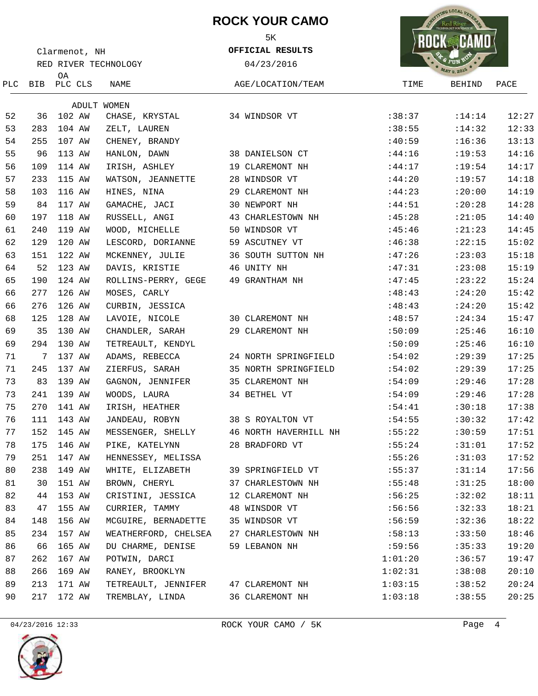# **ROCK YOUR CAMO**

5K

**OFFICIAL RESULTS**



| Clarmenot, NH |                      |                   |                      | OFFICIAL RESULTS      |                    |               |       |  |  |
|---------------|----------------------|-------------------|----------------------|-----------------------|--------------------|---------------|-------|--|--|
|               | RED RIVER TECHNOLOGY |                   |                      | 04/23/2016            | <b>MAY 9, 2015</b> |               |       |  |  |
| PLC           |                      | 0A<br>BIB PLC CLS | NAME                 | AGE/LOCATION/TEAM     | TIME               | <b>BEHIND</b> | PACE  |  |  |
|               |                      |                   | ADULT WOMEN          |                       |                    |               |       |  |  |
| 52            | 36                   | 102 AW            | CHASE, KRYSTAL       | 34 WINDSOR VT         | :38:37             | : 14:14       | 12:27 |  |  |
| 53            | 283                  | 104 AW            | ZELT, LAUREN         |                       | :38:55             | :14:32        | 12:33 |  |  |
| 54            | 255                  | 107 AW            | CHENEY, BRANDY       |                       | :40:59             | :16:36        | 13:13 |  |  |
| 55            | 96                   | 113 AW            | HANLON, DAWN         | 38 DANIELSON CT       | :44:16             | :19:53        | 14:16 |  |  |
| 56            | 109                  | 114 AW            | IRISH, ASHLEY        | 19 CLAREMONT NH       | :44:17             | :19:54        | 14:17 |  |  |
| 57            | 233                  | 115 AW            | WATSON, JEANNETTE    | 28 WINDSOR VT         | :44:20             | :19:57        | 14:18 |  |  |
| 58            | 103                  | 116 AW            | HINES, NINA          | 29 CLAREMONT NH       | :44:23             | :20:00        | 14:19 |  |  |
| 59            | 84                   | 117 AW            | GAMACHE, JACI        | 30 NEWPORT NH         | :44:51             | :20:28        | 14:28 |  |  |
| 60            | 197                  | 118 AW            | RUSSELL, ANGI        | 43 CHARLESTOWN NH     | :45:28             | :21:05        | 14:40 |  |  |
| 61            | 240                  | 119 AW            | WOOD, MICHELLE       | 50 WINDSOR VT         | :45:46             | : 21:23       | 14:45 |  |  |
| 62            | 129                  | 120 AW            | LESCORD, DORIANNE    | 59 ASCUTNEY VT        | :46:38             | :22:15        | 15:02 |  |  |
| 63            | 151                  | 122 AW            | MCKENNEY, JULIE      | 36 SOUTH SUTTON NH    | :47:26             | :23:03        | 15:18 |  |  |
| 64            | 52                   | 123 AW            | DAVIS, KRISTIE       | 46 UNITY NH           | :47:31             | :23:08        | 15:19 |  |  |
| 65            | 190                  | 124 AW            | ROLLINS-PERRY, GEGE  | 49 GRANTHAM NH        | :47:45             | : 23:22       | 15:24 |  |  |
| 66            | 277                  | 126 AW            | MOSES, CARLY         |                       | :48:43             | : 24:20       | 15:42 |  |  |
| 66            | 276                  | 126 AW            | CURBIN, JESSICA      |                       | :48:43             | : 24:20       | 15:42 |  |  |
| 68            | 125                  | 128 AW            | LAVOIE, NICOLE       | 30 CLAREMONT NH       | :48:57             | :24:34        | 15:47 |  |  |
| 69            | 35                   | 130 AW            | CHANDLER, SARAH      | 29 CLAREMONT NH       | :50:09             | : 25:46       | 16:10 |  |  |
| 69            | 294                  | 130 AW            | TETREAULT, KENDYL    |                       | :50:09             | : 25:46       | 16:10 |  |  |
| 71            | 7                    | 137 AW            | ADAMS, REBECCA       | 24 NORTH SPRINGFIELD  | :54:02             | :29:39        | 17:25 |  |  |
| 71            | 245                  | 137 AW            | ZIERFUS, SARAH       | 35 NORTH SPRINGFIELD  | :54:02             | :29:39        | 17:25 |  |  |
| 73            | 83                   | 139 AW            | GAGNON, JENNIFER     | 35 CLAREMONT NH       | :54:09             | : 29:46       | 17:28 |  |  |
| 73            | 241                  | 139 AW            | WOODS, LAURA         | 34 BETHEL VT          | :54:09             | :29:46        | 17:28 |  |  |
| 75            | 270                  | 141 AW            | IRISH, HEATHER       |                       | :54:41             | :30:18        | 17:38 |  |  |
| 76            | 111                  | 143 AW            | JANDEAU, ROBYN       | 38 S ROYALTON VT      | :54:55             | :30:32        | 17:42 |  |  |
| 77            | 152                  | 145 AW            | MESSENGER, SHELLY    | 46 NORTH HAVERHILL NH | :55:22             | :30:59        | 17:51 |  |  |
| 78            |                      | 175 146 AW        | PIKE, KATELYNN       | 28 BRADFORD VT        | :55:24             | :31:01        | 17:52 |  |  |
| 79            | 251                  | 147 AW            | HENNESSEY, MELISSA   |                       | :55:26             | :31:03        | 17:52 |  |  |
| 80            | 238                  | 149 AW            | WHITE, ELIZABETH     | 39 SPRINGFIELD VT     | :55:37             | :31:14        | 17:56 |  |  |
| 81            | 30                   | 151 AW            | BROWN, CHERYL        | 37 CHARLESTOWN NH     | :55:48             | :31:25        | 18:00 |  |  |
| 82            | 44                   | 153 AW            | CRISTINI, JESSICA    | 12 CLAREMONT NH       | :56:25             | :32:02        | 18:11 |  |  |
| 83            | 47                   | 155 AW            | CURRIER, TAMMY       | 48 WINSDOR VT         | :56:56             | :32:33        | 18:21 |  |  |
| 84            | 148                  | 156 AW            | MCGUIRE, BERNADETTE  | 35 WINDSOR VT         | :56:59             | :32:36        | 18:22 |  |  |
| 85            | 234                  | 157 AW            | WEATHERFORD, CHELSEA | 27 CHARLESTOWN NH     | :58:13             | :33:50        | 18:46 |  |  |
| 86            | 66                   | 165 AW            | DU CHARME, DENISE    | 59 LEBANON NH         | :59:56             | :35:33        | 19:20 |  |  |
| 87            | 262                  | 167 AW            | POTWIN, DARCI        |                       | 1:01:20            | :36:57        | 19:47 |  |  |
| 88            | 266                  | 169 AW            | RANEY, BROOKLYN      |                       | 1:02:31            | :38:08        | 20:10 |  |  |
| 89            | 213                  | 171 AW            | TETREAULT, JENNIFER  | 47 CLAREMONT NH       | 1:03:15            | :38:52        | 20:24 |  |  |
| 90            | 217                  | 172 AW            | TREMBLAY, LINDA      | 36 CLAREMONT NH       | 1:03:18            | :38:55        | 20:25 |  |  |
|               |                      |                   |                      |                       |                    |               |       |  |  |